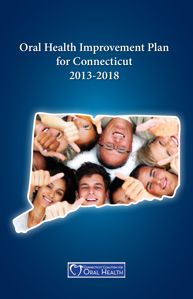## **Oral Health Improvement Plan for Connecticut 2013-2018**



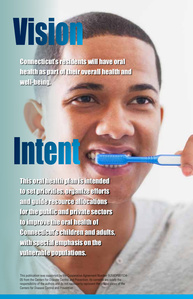# Visio

Connecticut's residents will have oral health as part of their overall health and well-being.

# Intent

This oral health plan is intended to set priorities, organize efforts and guide resource allocations for the public and private sectors to improve the oral health of Connecticut's children and adults, with special emphasis on the vulnerable populations.

This publication was supported by the Cooperative Agreement Number 5U58DP001534 05 from the Centers for Disease Control and Prevention. Its contents are solely the responsibility of the authors and do not necessarily represent the official views of the Centers for Disease Control and Prevention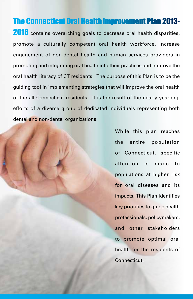#### **The Connecticut Oral Health Improvement Plan 2013-**

2018 contains overarching goals to decrease oral health disparities, promote a culturally competent oral health workforce, increase engagement of non-dental health and human services providers in promoting and integrating oral health into their practices and improve the oral health literacy of CT residents. The purpose of this Plan is to be the guiding tool in implementing strategies that will improve the oral health of the all Connecticut residents. It is the result of the nearly yearlong efforts of a diverse group of dedicated individuals representing both dental and non-dental organizations.

> While this plan reaches the entire population of Connecticut, specific attention is made to populations at higher risk for oral diseases and its impacts. This Plan identifies key priorities to guide health professionals, policymakers, and other stakeholders to promote optimal oral health for the residents of Connecticut.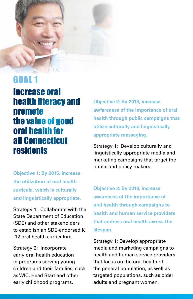

Increase oral health literacy and promote the value of good oral health for all Connecticut residents

**Objective 1: By 2015, increase the utilization of oral health curricula, which is culturally and linguistically appropriate.**

Strategy 1: Collaborate with the State Department of Education (SDE) and other stakeholders to establish an SDE-endorsed K -12 oral health curriculum.

Strategy 2: Incorporate early oral health education in programs serving young children and their families, such as WIC, Head Start and other early childhood programs.

**Objective 2: By 2018, increase awfareness of the importance of oral health through public campaigns that utilize culturally and linguistically appropriate messaging.**

Strategy 1: Develop culturally and linguistically appropriate media and marketing campaigns that target the public and policy makers.

**Objective 3: By 2018, increase awareness of the importance of oral health through campaigns to health and human service providers that address oral health across the lifespan.**

Strategy 1: Develop appropriate media and marketing campaigns to health and human service providers that focus on the oral health of the general population, as well as targeted populations, such as older adults and pregnant women.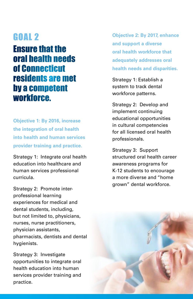#### Ensure that the oral health needs of Connecticut residents are met by a competent workforce.

**Objective 1: By 2016, increase the integration of oral health into health and human services provider training and practice.**

Strategy 1: Integrate oral health education into healthcare and human services professional curricula.

Strategy 2: Promote interprofessional learning experiences for medical and dental students, including, but not limited to, physicians, nurses, nurse practitioners, physician assistants, pharmacists, dentists and dental hygienists.

Strategy 3: Investigate opportunities to integrate oral health education into human services provider training and practice.

**Objective 2: By 2017, enhance and support a diverse oral health workforce that adequately addresses oral health needs and disparities.**

Strategy 1: Establish a system to track dental workforce patterns.

Strategy 2: Develop and implement continuing educational opportunities in cultural competencies for all licensed oral health professionals.

Strategy 3: Support structured oral health career awareness programs for K-12 students to encourage a more diverse and "home grown" dental workforce.

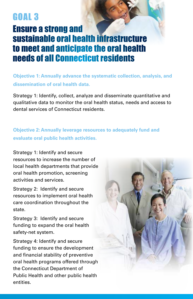#### Ensure a strong and sustainable oral health infrastructure to meet and anticipate the oral health needs of all Connecticut residents

**Objective 1: Annually advance the systematic collection, analysis, and dissemination of oral health data.**

Strategy 1: Identify, collect, analyze and disseminate quantitative and qualitative data to monitor the oral health status, needs and access to dental services of Connecticut residents.

#### **Objective 2: Annually leverage resources to adequately fund and evaluate oral public health activities.**

Strategy 1: Identify and secure resources to increase the number of local health departments that provide oral health promotion, screening activities and services.

Strategy 2: Identify and secure resources to implement oral health care coordination throughout the state.

Strategy 3: Identify and secure funding to expand the oral health safety-net system.

Strategy 4: Identify and secure funding to ensure the development and financial stability of preventive oral health programs offered through the Connecticut Department of Public Health and other public health entities.

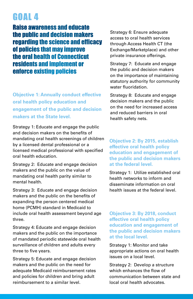Raise awareness and educate the public and decision makers regarding the science and efficacy of policies that may improve the oral health of Connecticut residents and implement or enforce existing policies

**Objective 1: Annually conduct effective oral health policy education and engagement of the public and decision makers at the State level.**

Strategy 1: Educate and engage the public and decision makers on the benefits of mandating oral health screenings of children by a licensed dental professional or a licensed medical professional with specified oral health education.

Strategy 2: Educate and engage decision makers and the public on the value of mandating oral health parity similar to mental health.

Strategy 3: Educate and engage decision makers and the public on the benefits of expanding the person centered medical home (PCMH) standard in Medicaid to include oral health assessment beyond age three.

Strategy 4: Educate and engage decision makers and the public on the importance of mandated periodic statewide oral health surveillance of children and adults every three to five years.

Strategy 5: Educate and engage decision makers and the public on the need for adequate Medicaid reimbursement rates and policies for children and bring adult reimbursement to a similar level.

Strategy 6: Ensure adequate access to oral health services through Access Health CT (the Exchange/Marketplace) and other private insurance offerings.

Strategy 7: Educate and engage the public and decision makers on the importance of maintaining statutory authority for community water fluoridation.

Strategy 8: Educate and engage decision makers and the public on the need for increased access and reduced barriers in oral health safety nets.

**Objective 2: By 2015, establish effective oral health policy education and engagement of the public and decision makers at the federal level.**

Strategy 1: Utilize established oral health networks to inform and disseminate information on oral health issues at the federal level.

**Objective 3: By 2018, conduct effective oral health policy education and engagement of the public and decision makers at the local level.**

Strategy 1: Monitor and take appropriate actions on oral health issues on a local level.

Strategy 2: Develop a structure which enhances the flow of communication between state and local oral health advocates.